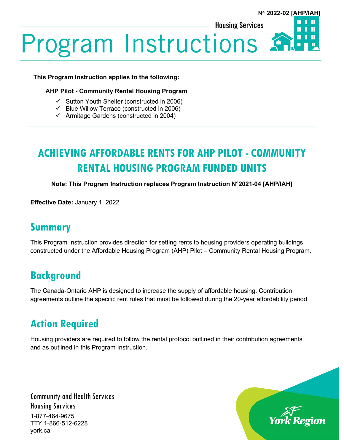П

П

**Housing Services** 

**Program Instructions**.

#### **This Program Instruction applies to the following:**

#### **AHP Pilot - Community Rental Housing Program**

- $\checkmark$  Sutton Youth Shelter (constructed in 2006)
- $\checkmark$  Blue Willow Terrace (constructed in 2006)
- $\checkmark$  Armitage Gardens (constructed in 2004)

# **ACHIEVING AFFORDABLE RENTS FOR AHP PILOT - COMMUNITY RENTAL HOUSING PROGRAM FUNDED UNITS**

**Note: This Program Instruction replaces Program Instruction N°2021-04 [AHP/IAH]**

**Effective Date:** January 1, 2022

### **Summary**

This Program Instruction provides direction for setting rents to housing providers operating buildings constructed under the Affordable Housing Program (AHP) Pilot – Community Rental Housing Program.

# **Background**

The Canada-Ontario AHP is designed to increase the supply of affordable housing. Contribution agreements outline the specific rent rules that must be followed during the 20-year affordability period.

# **Action Required**

Housing providers are required to follow the rental protocol outlined in their contribution agreements and as outlined in this Program Instruction.

Community and Health Services Housing Services 1-877-464-9675 TTY 1-866-512-6228 york.ca